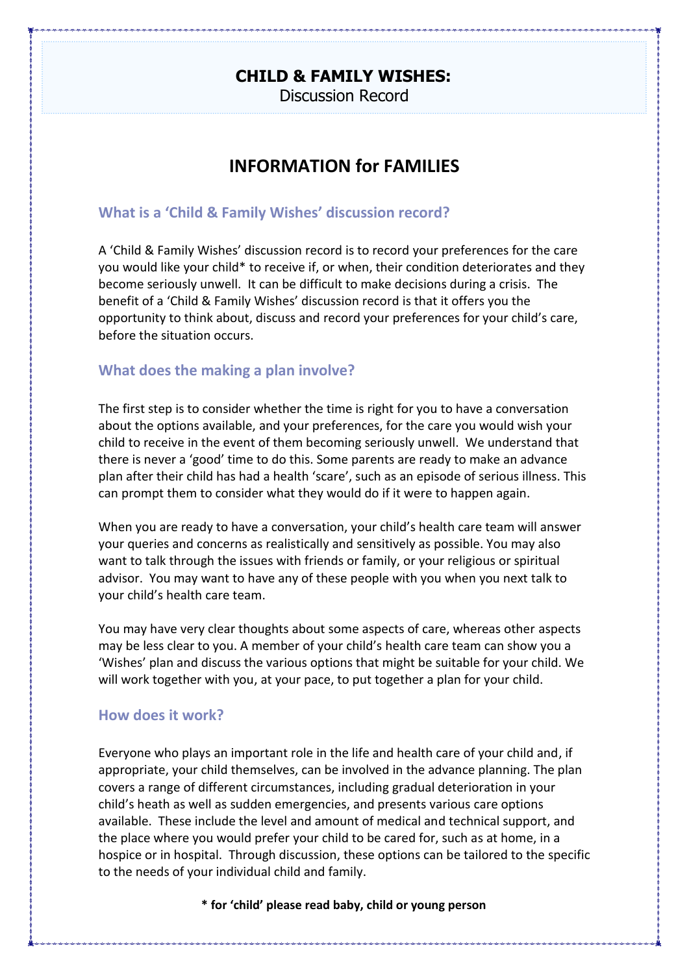# **CHILD & FAMILY WISHES:**

Discussion Record

# **INFORMATION for FAMILIES**

### **What is a 'Child & Family Wishes' discussion record?**

A 'Child & Family Wishes' discussion record is to record your preferences for the care you would like your child\* to receive if, or when, their condition deteriorates and they become seriously unwell. It can be difficult to make decisions during a crisis. The benefit of a 'Child & Family Wishes' discussion record is that it offers you the opportunity to think about, discuss and record your preferences for your child's care, before the situation occurs.

### **What does the making a plan involve?**

The first step is to consider whether the time is right for you to have a conversation about the options available, and your preferences, for the care you would wish your child to receive in the event of them becoming seriously unwell. We understand that there is never a 'good' time to do this. Some parents are ready to make an advance plan after their child has had a health 'scare', such as an episode of serious illness. This can prompt them to consider what they would do if it were to happen again.

When you are ready to have a conversation, your child's health care team will answer your queries and concerns as realistically and sensitively as possible. You may also want to talk through the issues with friends or family, or your religious or spiritual advisor. You may want to have any of these people with you when you next talk to your child's health care team.

You may have very clear thoughts about some aspects of care, whereas other aspects may be less clear to you. A member of your child's health care team can show you a 'Wishes' plan and discuss the various options that might be suitable for your child. We will work together with you, at your pace, to put together a plan for your child.

### **How does it work?**

Everyone who plays an important role in the life and health care of your child and, if appropriate, your child themselves, can be involved in the advance planning. The plan covers a range of different circumstances, including gradual deterioration in your child's heath as well as sudden emergencies, and presents various care options available. These include the level and amount of medical and technical support, and the place where you would prefer your child to be cared for, such as at home, in a hospice or in hospital. Through discussion, these options can be tailored to the specific to the needs of your individual child and family.

**\* for 'child' please read baby, child or young person**